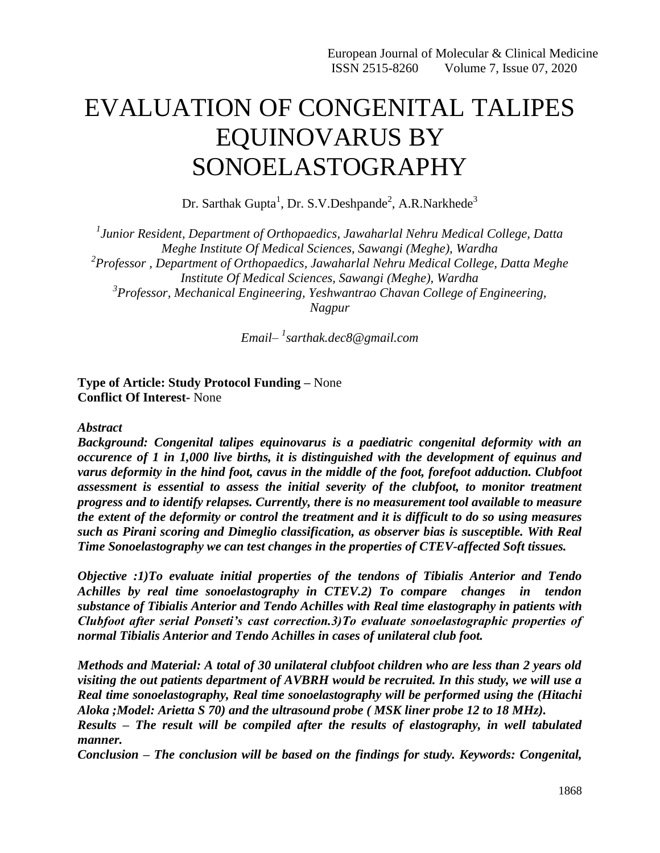# EVALUATION OF CONGENITAL TALIPES EQUINOVARUS BY SONOELASTOGRAPHY

Dr. Sarthak Gupta<sup>1</sup>, Dr. S.V.Deshpande<sup>2</sup>, A.R.Narkhede<sup>3</sup>

*1 Junior Resident, Department of Orthopaedics, Jawaharlal Nehru Medical College, Datta Meghe Institute Of Medical Sciences, Sawangi (Meghe), Wardha 2 Professor , Department of Orthopaedics, Jawaharlal Nehru Medical College, Datta Meghe Institute Of Medical Sciences, Sawangi (Meghe), Wardha 3 Professor, Mechanical Engineering, Yeshwantrao Chavan College of Engineering, Nagpur*

*Email– 1 [sarthak.dec8@gmail.com](mailto:sarthak.dec8@gmail.com)*

**Type of Article: Study Protocol Funding –** None **Conflict Of Interest-** None

#### *Abstract*

*Background: Congenital talipes equinovarus is a paediatric congenital deformity with an occurence of 1 in 1,000 live births, it is distinguished with the development of equinus and varus deformity in the hind foot, cavus in the middle of the foot, forefoot adduction. Clubfoot assessment is essential to assess the initial severity of the clubfoot, to monitor treatment progress and to identify relapses. Currently, there is no measurement tool available to measure the extent of the deformity or control the treatment and it is difficult to do so using measures such as Pirani scoring and Dimeglio classification, as observer bias is susceptible. With Real Time Sonoelastography we can test changes in the properties of CTEV-affected Soft tissues.*

*Objective :1)To evaluate initial properties of the tendons of Tibialis Anterior and Tendo Achilles by real time sonoelastography in CTEV.2) To compare changes in tendon substance of Tibialis Anterior and Tendo Achilles with Real time elastography in patients with Clubfoot after serial Ponseti's cast correction.3)To evaluate sonoelastographic properties of normal Tibialis Anterior and Tendo Achilles in cases of unilateral club foot.*

*Methods and Material: A total of 30 unilateral clubfoot children who are less than 2 years old visiting the out patients department of AVBRH would be recruited. In this study, we will use a Real time sonoelastography, Real time sonoelastography will be performed using the (Hitachi Aloka ;Model: Arietta S 70) and the ultrasound probe ( MSK liner probe 12 to 18 MHz).*

*Results – The result will be compiled after the results of elastography, in well tabulated manner.*

*Conclusion – The conclusion will be based on the findings for study. Keywords: Congenital,*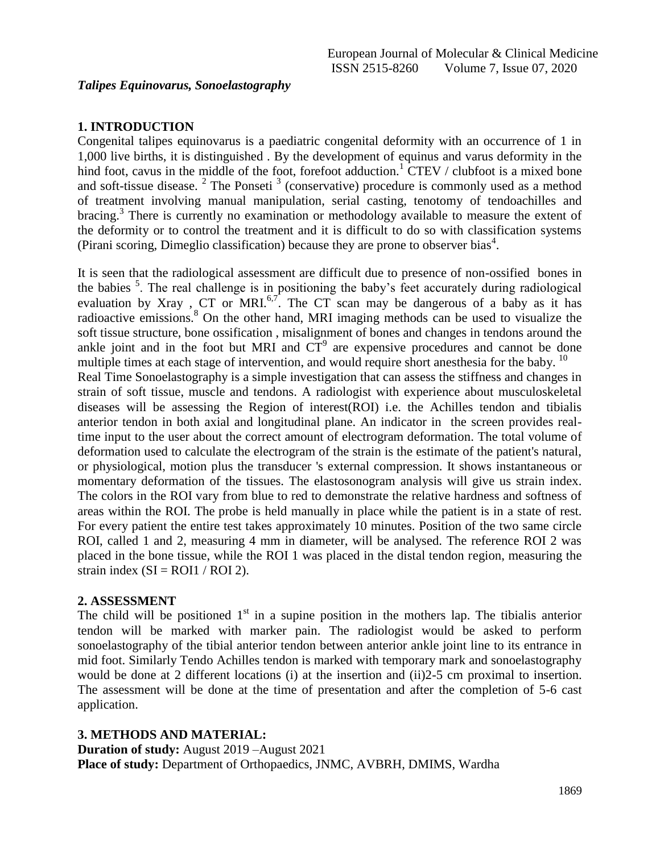# **1. INTRODUCTION**

Congenital talipes equinovarus is a paediatric congenital deformity with an occurrence of 1 in 1,000 live births, it is distinguished . By the development of equinus and varus deformity in the hind foot, cavus in the middle of the foot, forefoot adduction.<sup>1</sup> CTEV / clubfoot is a mixed bone and soft-tissue disease.  $2$  The Ponseti  $3$  (conservative) procedure is commonly used as a method of treatment involving manual manipulation, serial casting, tenotomy of tendoachilles and bracing.<sup>3</sup> There is currently no examination or methodology available to measure the extent of the deformity or to control the treatment and it is difficult to do so with classification systems (Pirani scoring, Dimeglio classification) because they are prone to observer bias<sup>4</sup>.

It is seen that the radiological assessment are difficult due to presence of non-ossified bones in the babies <sup>5</sup>. The real challenge is in positioning the baby's feet accurately during radiological evaluation by Xray, CT or MRI.<sup>6,7</sup>. The CT scan may be dangerous of a baby as it has radioactive emissions.<sup>8</sup> On the other hand, MRI imaging methods can be used to visualize the soft tissue structure, bone ossification , misalignment of bones and changes in tendons around the ankle joint and in the foot but MRI and  $CT<sup>9</sup>$  are expensive procedures and cannot be done multiple times at each stage of intervention, and would require short anesthesia for the baby.  $10$ Real Time Sonoelastography is a simple investigation that can assess the stiffness and changes in strain of soft tissue, muscle and tendons. A radiologist with experience about musculoskeletal diseases will be assessing the Region of interest(ROI) i.e. the Achilles tendon and tibialis anterior tendon in both axial and longitudinal plane. An indicator in the screen provides realtime input to the user about the correct amount of electrogram deformation. The total volume of deformation used to calculate the electrogram of the strain is the estimate of the patient's natural, or physiological, motion plus the transducer 's external compression. It shows instantaneous or momentary deformation of the tissues. The elastosonogram analysis will give us strain index. The colors in the ROI vary from blue to red to demonstrate the relative hardness and softness of areas within the ROI. The probe is held manually in place while the patient is in a state of rest. For every patient the entire test takes approximately 10 minutes. Position of the two same circle ROI, called 1 and 2, measuring 4 mm in diameter, will be analysed. The reference ROI 2 was placed in the bone tissue, while the ROI 1 was placed in the distal tendon region, measuring the strain index  $(SI = ROI1 / ROI2)$ .

# **2. ASSESSMENT**

The child will be positioned  $1<sup>st</sup>$  in a supine position in the mothers lap. The tibialis anterior tendon will be marked with marker pain. The radiologist would be asked to perform sonoelastography of the tibial anterior tendon between anterior ankle joint line to its entrance in mid foot. Similarly Tendo Achilles tendon is marked with temporary mark and sonoelastography would be done at 2 different locations (i) at the insertion and (ii)2-5 cm proximal to insertion. The assessment will be done at the time of presentation and after the completion of 5-6 cast application.

# **3. METHODS AND MATERIAL:**

**Duration of study:** August 2019 –August 2021 **Place of study:** Department of Orthopaedics, JNMC, AVBRH, DMIMS, Wardha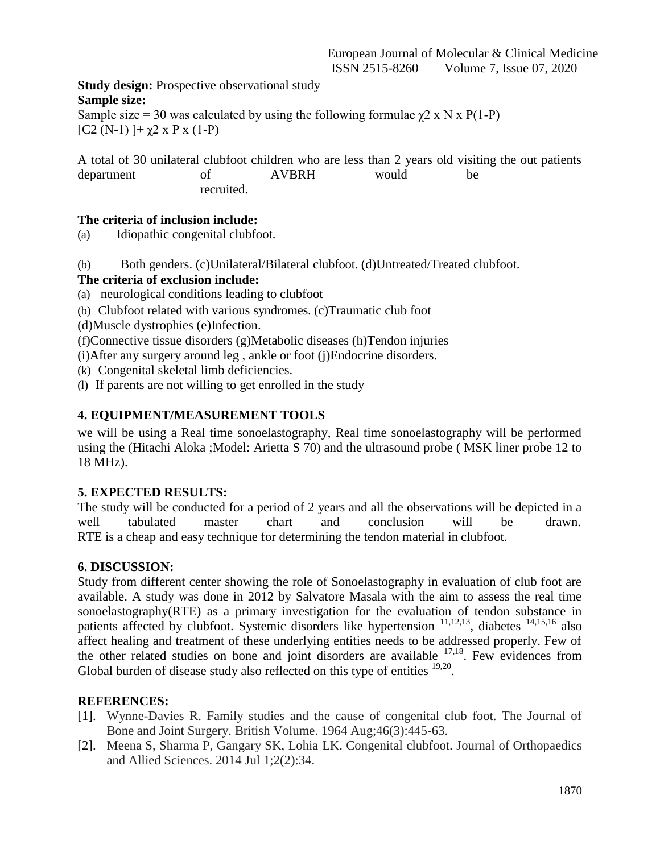**Study design:** Prospective observational study **Sample size:**

Sample size = 30 was calculated by using the following formulae  $\chi$ 2 x N x P(1-P)  $[C2 (N-1)] + \chi 2 \times P \times (1-P)$ 

A total of 30 unilateral clubfoot children who are less than 2 years old visiting the out patients department of AVBRH would be recruited.

# **The criteria of inclusion include:**

(a) Idiopathic congenital clubfoot.

(b) Both genders. (c)Unilateral/Bilateral clubfoot. (d)Untreated/Treated clubfoot.

# **The criteria of exclusion include:**

- (a) neurological conditions leading to clubfoot
- (b) Clubfoot related with various syndromes. (c)Traumatic club foot
- (d)Muscle dystrophies (e)Infection.

(f)Connective tissue disorders (g)Metabolic diseases (h)Tendon injuries

(i)After any surgery around leg , ankle or foot (j)Endocrine disorders.

(k) Congenital skeletal limb deficiencies.

(l) If parents are not willing to get enrolled in the study

# **4. EQUIPMENT/MEASUREMENT TOOLS**

we will be using a Real time sonoelastography, Real time sonoelastography will be performed using the (Hitachi Aloka ;Model: Arietta S 70) and the ultrasound probe ( MSK liner probe 12 to 18 MHz).

# **5. EXPECTED RESULTS:**

The study will be conducted for a period of 2 years and all the observations will be depicted in a well tabulated master chart and conclusion will be drawn. RTE is a cheap and easy technique for determining the tendon material in clubfoot.

# **6. DISCUSSION:**

Study from different center showing the role of Sonoelastography in evaluation of club foot are available. A study was done in 2012 by Salvatore Masala with the aim to assess the real time sonoelastography(RTE) as a primary investigation for the evaluation of tendon substance in patients affected by clubfoot. Systemic disorders like hypertension  $11,12,13$ , diabetes  $14,15,16$  also affect healing and treatment of these underlying entities needs to be addressed properly. Few of the other related studies on bone and joint disorders are available  $17,18$ . Few evidences from Global burden of disease study also reflected on this type of entities  $19,20$ .

# **REFERENCES:**

- [1]. Wynne-Davies R. Family studies and the cause of congenital club foot. The Journal of Bone and Joint Surgery. British Volume. 1964 Aug;46(3):445-63.
- [2]. Meena S, Sharma P, Gangary SK, Lohia LK. Congenital clubfoot. Journal of Orthopaedics and Allied Sciences. 2014 Jul 1;2(2):34.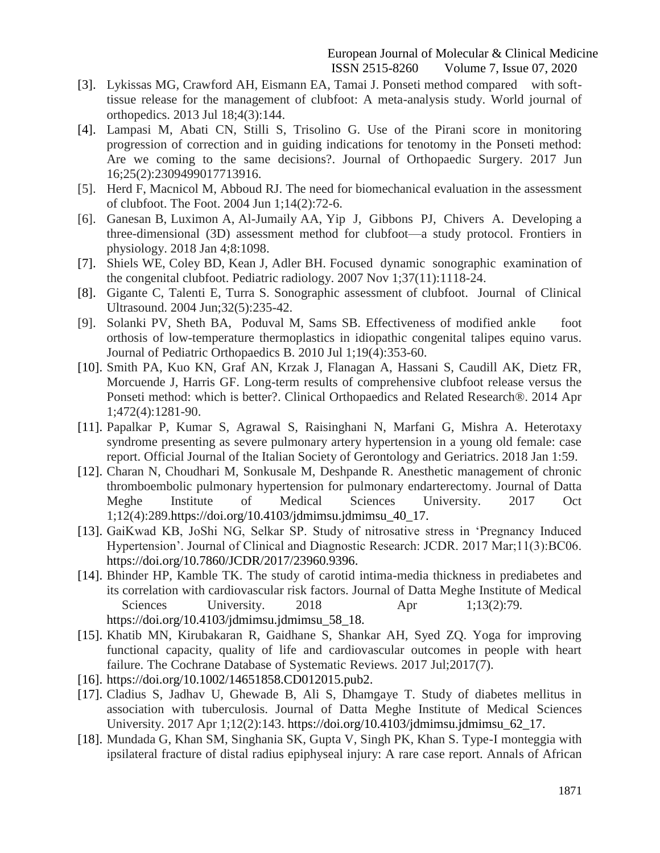- [3]. Lykissas MG, Crawford AH, Eismann EA, Tamai J. Ponseti method compared with softtissue release for the management of clubfoot: A meta-analysis study. World journal of orthopedics. 2013 Jul 18;4(3):144.
- [4]. Lampasi M, Abati CN, Stilli S, Trisolino G. Use of the Pirani score in monitoring progression of correction and in guiding indications for tenotomy in the Ponseti method: Are we coming to the same decisions?. Journal of Orthopaedic Surgery. 2017 Jun 16;25(2):2309499017713916.
- [5]. Herd F, Macnicol M, Abboud RJ. The need for biomechanical evaluation in the assessment of clubfoot. The Foot. 2004 Jun 1;14(2):72-6.
- [6]. Ganesan B, Luximon A, Al-Jumaily AA, Yip J, Gibbons PJ, Chivers A. Developing a three-dimensional (3D) assessment method for clubfoot—a study protocol. Frontiers in physiology. 2018 Jan 4;8:1098.
- [7]. Shiels WE, Coley BD, Kean J, Adler BH. Focused dynamic sonographic examination of the congenital clubfoot. Pediatric radiology. 2007 Nov 1;37(11):1118-24.
- [8]. Gigante C, Talenti E, Turra S. Sonographic assessment of clubfoot. Journal of Clinical Ultrasound. 2004 Jun;32(5):235-42.
- [9]. Solanki PV, Sheth BA, Poduval M, Sams SB. Effectiveness of modified ankle foot orthosis of low-temperature thermoplastics in idiopathic congenital talipes equino varus. Journal of Pediatric Orthopaedics B. 2010 Jul 1;19(4):353-60.
- [10]. Smith PA, Kuo KN, Graf AN, Krzak J, Flanagan A, Hassani S, Caudill AK, Dietz FR, Morcuende J, Harris GF. Long-term results of comprehensive clubfoot release versus the Ponseti method: which is better?. Clinical Orthopaedics and Related Research®. 2014 Apr 1;472(4):1281-90.
- [11]. Papalkar P, Kumar S, Agrawal S, Raisinghani N, Marfani G, Mishra A. Heterotaxy syndrome presenting as severe pulmonary artery hypertension in a young old female: case report. Official Journal of the Italian Society of Gerontology and Geriatrics. 2018 Jan 1:59.
- [12]. Charan N, Choudhari M, Sonkusale M, Deshpande R. Anesthetic management of chronic thromboembolic pulmonary hypertension for pulmonary endarterectomy. Journal of Datta Meghe Institute of Medical Sciences University. 2017 Oct 1;12(4):289.https://doi.org/10.4103/jdmimsu.jdmimsu\_40\_17.
- [13]. GaiKwad KB, JoShi NG, Selkar SP. Study of nitrosative stress in 'Pregnancy Induced Hypertension'. Journal of Clinical and Diagnostic Research: JCDR. 2017 Mar;11(3):BC06. https://doi.org/10.7860/JCDR/2017/23960.9396.
- [14]. Bhinder HP, Kamble TK. The study of carotid intima-media thickness in prediabetes and its correlation with cardiovascular risk factors. Journal of Datta Meghe Institute of Medical Sciences University. 2018 Apr 1;13(2):79. https://doi.org/10.4103/jdmimsu.jdmimsu\_58\_18.
- [15]. Khatib MN, Kirubakaran R, Gaidhane S, Shankar AH, Syed ZQ. Yoga for improving functional capacity, quality of life and cardiovascular outcomes in people with heart failure. The Cochrane Database of Systematic Reviews. 2017 Jul;2017(7).
- [16]. https://doi.org/10.1002/14651858.CD012015.pub2.
- [17]. Cladius S, Jadhav U, Ghewade B, Ali S, Dhamgaye T. Study of diabetes mellitus in association with tuberculosis. Journal of Datta Meghe Institute of Medical Sciences University. 2017 Apr 1;12(2):143. https://doi.org/10.4103/jdmimsu.jdmimsu\_62\_17.
- [18]. Mundada G, Khan SM, Singhania SK, Gupta V, Singh PK, Khan S. Type-I monteggia with ipsilateral fracture of distal radius epiphyseal injury: A rare case report. Annals of African